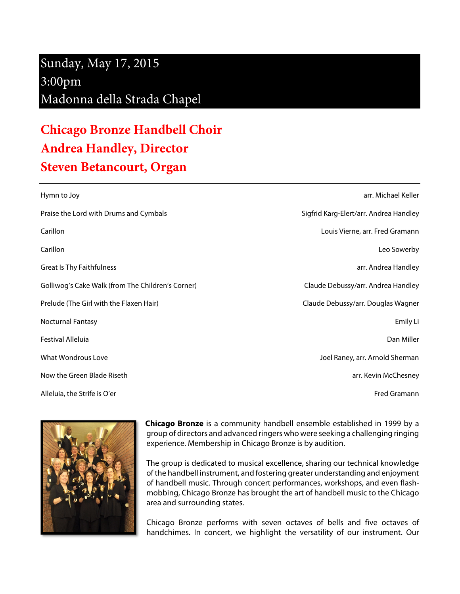## Sunday, May 17, 2015 3:00pm Madonna della Strada Chapel

## **Chicago Bronze Handbell Choir Andrea Handley, Director Steven Betancourt, Organ**

| Hymn to Joy                                       | arr. Michael Keller                    |
|---------------------------------------------------|----------------------------------------|
| Praise the Lord with Drums and Cymbals            | Sigfrid Karg-Elert/arr. Andrea Handley |
| Carillon                                          | Louis Vierne, arr. Fred Gramann        |
| Carillon                                          | Leo Sowerby                            |
| <b>Great Is Thy Faithfulness</b>                  | arr. Andrea Handley                    |
| Golliwog's Cake Walk (from The Children's Corner) | Claude Debussy/arr. Andrea Handley     |
| Prelude (The Girl with the Flaxen Hair)           | Claude Debussy/arr. Douglas Wagner     |
| <b>Nocturnal Fantasy</b>                          | Emily Li                               |
| <b>Festival Alleluia</b>                          | Dan Miller                             |
| <b>What Wondrous Love</b>                         | Joel Raney, arr. Arnold Sherman        |
| Now the Green Blade Riseth                        | arr. Kevin McChesney                   |
| Alleluia, the Strife is O'er                      | Fred Gramann                           |



**Chicago Bronze** is a community handbell ensemble established in 1999 by a group of directors and advanced ringers who were seeking a challenging ringing experience. Membership in Chicago Bronze is by audition.

The group is dedicated to musical excellence, sharing our technical knowledge of the handbell instrument, and fostering greater understanding and enjoyment of handbell music. Through concert performances, workshops, and even flashmobbing, Chicago Bronze has brought the art of handbell music to the Chicago area and surrounding states.

Chicago Bronze performs with seven octaves of bells and five octaves of handchimes. In concert, we highlight the versatility of our instrument. Our